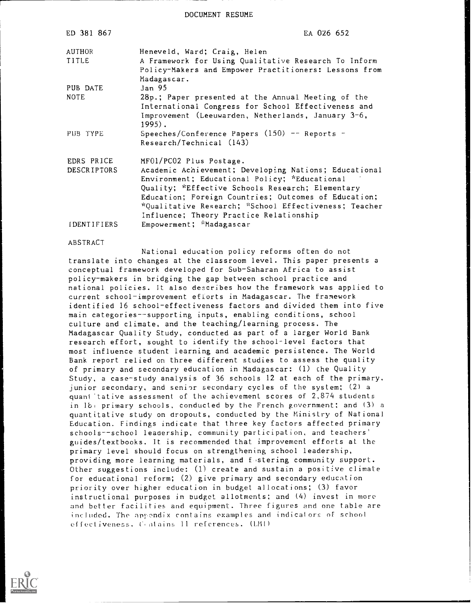DOCUMENT RESUME

| ED 381 867                       | EA 026 652                                                                                                                                                                                                                                                                                                                                        |
|----------------------------------|---------------------------------------------------------------------------------------------------------------------------------------------------------------------------------------------------------------------------------------------------------------------------------------------------------------------------------------------------|
| <b>AUTHOR</b><br>TITLE           | Heneveld, Ward; Craig, Helen<br>A Framework for Using Qualitative Research To Inform<br>Policy-Makers and Empower Practitioners: Lessons from<br>Madagascar.                                                                                                                                                                                      |
| PUB DATE                         | Jan 95                                                                                                                                                                                                                                                                                                                                            |
| <b>NOTE</b>                      | 28p.; Paper presented at the Annual Meeting of the<br>International Congress for School Effectiveness and<br>Improvement (Leeuwarden, Netherlands, January 3-6,<br>$1995$ .                                                                                                                                                                       |
| PUB TYPE                         | Speeches/Conference Papers $(150)$ -- Reports -<br>Research/Technical (143)                                                                                                                                                                                                                                                                       |
| EDRS PRICE<br><b>DESCRIPTORS</b> | MF01/PC02 Plus Postage.<br>Academic Achievement; Developing Nations; Educational<br>Environment; Educational Policy; *Educational<br>Quality; *Effective Schools Research; Elementary<br>Education; Foreign Countries; Outcomes of Education;<br>*Qualitative Research; *School Effectiveness; Teacher<br>Influence; Theory Practice Relationship |
| IDENTIFIERS                      | Empowerment; *Madagascar                                                                                                                                                                                                                                                                                                                          |

#### ABSTRACT

National education policy reforms often do not translate into changes at the classroom level. This paper presents a conceptual framework developed for Sub-Saharan Africa to assist policy-makers in bridging the gap between school practice and national policies. It also describes how the framework was applied to current school-improvement efforts in Madagascar. The framework identified 16 school-effectiveness factors and divided them into five main categories--supporting inputs, enabling conditions, school culture and climate, and the teaching/learning process. The Madagascar Quality Study, conducted as part of a larger World Bank research effort, sought to identify the school-level factors that most influence student learning and academic persistence. The World Bank report relied on three different studies to assess the quality of primary and secondary education in Madagascar: (1) the Quality Study, a case-study analysis of 36 schools 12 at each of the primary, junior secondary, and senior secondary cycles of the system; (2) <sup>a</sup> quant tative assessment of the achievement scores of 2,874 students in 18) primary schools, conducted by the French government; and (3) a quantitative study on dropouts, conducted by the Ministry of National Education. Findings indicate that three key factors affected primary schools--school leadership, community participation, and teachers' guides/textbooks. It is recommended that improvement efforts at the primary level should focus on strengthening school leadership, providing more learning materials, and festering community support. Other suggestions include: (1) create and sustain a positive climate for educational reform; (2) give primary and secondary education priority over higher education in budget allocations; (3) favor instructional purposes in budget allotments; and (4) invest in more and better facilities and equipment. Three figures and one table are included. The appendix contains examples and indicators of school effectiveness. C,otains 11 references. (LMI)

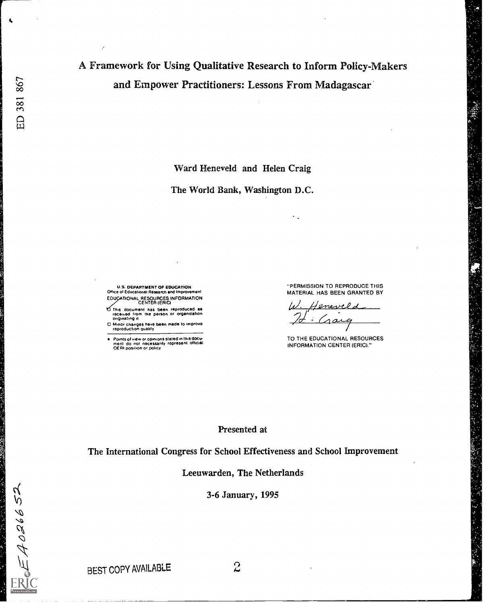$\epsilon$  =  $A026652$ 

ER

 $\pmb{\epsilon}$ 

# A Framework for Using Qualitative Research to Inform Policy-Makers and Empower Practitioners: Lessons From Madagascar

Ward Heneveld and Helen Craig

The World Bank, Washington D.C.

U.S. DEPARTMENT OF EDUCATION Office of Educational Research and Impro EDUCATIONAL RESOURCES INFORMATION<br>CENTER (ERIC)

This document has been reproduced as<br>received from the person or organization<br>originating it

0 Minor changes have been made to improve reproduction Quality

Points of view or opinions stated in this docu-<br>ment :do: not: necessarily .represent: official<br>OERI position or policy

"PERMISSION TO REPRODUCE THIS MATERIAL HAS BEEN GRANTED BY

٠.

Heneveld  $\sim$ 

TO THE EDUCATIONAL RESOURCES INFORMATION CENTER (ERIC)."

#### Presented at

The International Congress for School Effectiveness and School Improvement

Leeuwarden, The Netherlands

3-6 January, 1995

BEST COPY AVAILABLE  $2$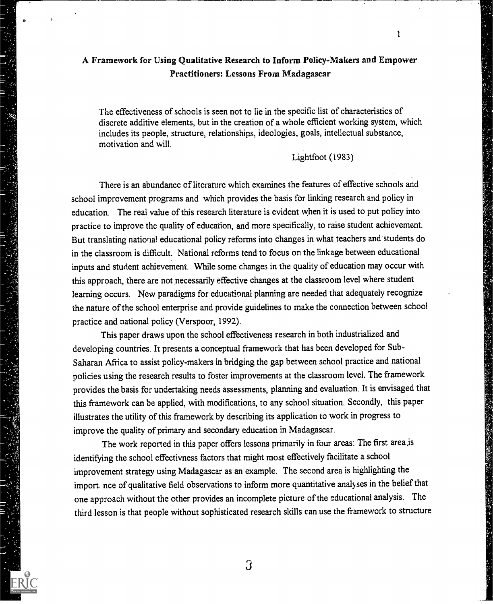# A Framework for Using Qualitative Research to Inform Policy-Makers and Empower Practitioners: Lessons From Madagascar

The effectiveness of schools is seen not to lie in the specific list of characteristics of discrete additive elements, but in the creation of a whole efficient working system, which includes its people, structure, relationships, ideologies, goals, intellectual substance, motivation and will.

Lightfoot (1983)

1

There is an abundance of literature which examines the features of effective schools and school improvement programs and which provides the basis for linking research and policy in education. The real value of this research literature is evident when it is used to put policy into practice to improve the quality of education, and more specifically, to raise student achievement. But translating national educational policy reforms into changes in what teachers and students do in the classroom is difficult. National reforms tend to focus on the linkage between educational inputs and student achievement. While some changes in the quality of education may occur with this approach, there are not necessarily effective changes at the classroom level where student learning occurs. New paradigms for educational planning are needed that adequately recognize the nature of the school enterprise and provide guidelines to make the connection between school practice and national policy (Verspoor, 1992).

This paper draws upon the school effectiveness research in both industrialized and developing countries. It presents a conceptual framework that has been developed for Sub-Saharan Africa to assist policy-makers in bridging the gap between school practice and national policies using the research results to foster improvements at the classroom level. The framework provides the basis for undertaking needs assessments, planning and evaluation. It is envisaged that this framework can be applied, with modifications, to any school situation. Secondly, this paper illustrates the utility of this framework by describing its application to work in progress to improve the quality of primary and secondary education in Madagascar.

The work reported in this paper offers lessons primarily in four areas: The first area.is identifying the school effectivness factors that might most effectively facilitate a school improvement strategy using Madagascar as an example. The second area is highlighting the import, nce of qualitative field observations to inform more quantitative analyses in the belief that one approach without the other provides an incomplete picture of the educational analysis. The third lesson is that people without sophisticated research skills can use the framework to structure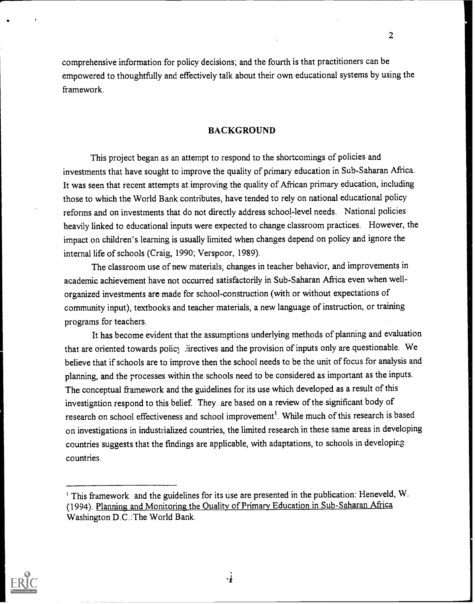comprehensive information for policy decisions; and the fourth is that practitioners can be empowered to thoughtfully and effectively talk about their own educational systems by using the framework.

# BACKGROUND

This project began as an attempt to respond to the shortcomings of policies and investments that have sought to improve the quality of primary education in Sub-Saharan Africa. It was seen that recent attempts at improving the quality of African primary education, including those to which the World Bank contributes, have tended to rely on national educational policy reforms and on investments that do not directly address school-level needs. National policies heavily linked to educational inputs were expected to change classroom practices. However, the impact on children's learning is usually limited when changes depend on policy and ignore the internal life of schools (Craig, 1990; Verspoor, 1989).

The classroom use of new materials, changes in teacher behavior, and improvements in academic achievement have not occurred satisfactorily in Sub-Saharan Africa even when wellorganized investments are made for school-construction (with or without expectations of community input), textbooks and teacher materials, a new language of instruction, or training programs for teachers.

It has become evident that the assumptions underlying methods of planning and evaluation that are oriented towards policy .irectives and the provision of inputs only are questionable. We believe that if schools are to improve then the school needs to be the unit of focus for analysis and planning, and the processes within the schools need to be considered as important as the inputs. The conceptual framework and the guidelines for its use which developed as a result of this investigation respond to this belief. They are based on a review of the significant body of research on school effectiveness and school improvement'. While much of this research is based on investigations in industrialized countries, the limited research in these same areas in developing countries suggests that the findings are applicable, with adaptations, to schools in developing countries.



<sup>&#</sup>x27; This framework and the guidelines for its use are presented in the publication: Heneveld, W. (1994). Planning and Monitoring the Quality of Primary Education in Sub-Saharan Africa Washington D.C.:The World Bank.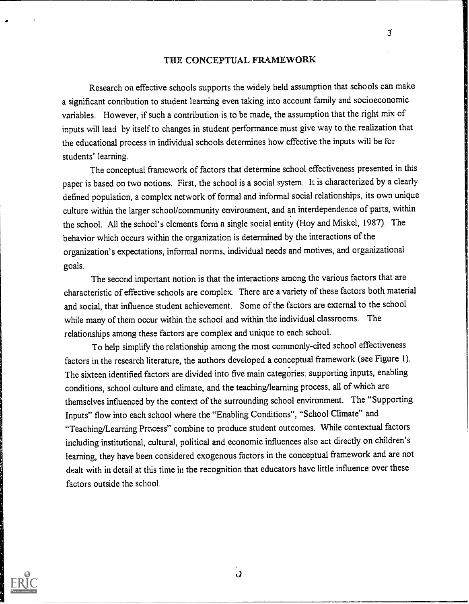#### THE CONCEPTUAL FRAMEWORK

 $\overline{3}$ 

Research on effective schools supports the widely held assumption that schools can make a significant conribution to student learning even taking into account family and socioeconomic variables. However, if such a contribution is to be made, the assumption that the right mix of inputs will lead by itself to changes in student performance must give way to the realization that the educational process in individual schools determines how effective the inputs will be for students' learning.

The conceptual framework of factors that determine school effectiveness presented in this paper is based on two notions. First, the school is a social system. It is characterized by a clearly defined population, a complex network of formal and informal social relationships, its own unique culture within the larger school/community environment, and an interdependence of parts, within the school. All the school's elements form a single social entity (Hoy and Miskel, 1987). The behavior which occurs within the organization is determined by the interactions of the organization's expectations, informal norms, individual needs and motives, and organizational goals.

The second important notion is that the interactions among the various factors that are characteristic of effective-schools are complex. There are a variety of these factors both material and social, that influence student achievement. Some of the factors are external to the school while many of them occur within the school and within the individual classrooms. The relationships among these factors are complex and unique to each school.

To help simplify the relationship among the most commonly-cited school effectiveness factors in the research literature, the authors developed a conceptual framework (see Figure 1). The sixteen identified factors are divided into five main categories: supporting inputs, enabling conditions, school culture and climate, and the teaching/learning process, all of which are themselves influenced by the context of the surrounding school environment. The "Supporting Inputs" flow into each school where the "Enabling Conditions", "School Climate" and "Teaching/Learning Process" combine to produce student outcomes. While contextual factors including institutional, cultural, political and economic influences also act directly on children's learning, they have been considered exogenous factors in the conceptual framework and are not dealt with in detail at this time in the recognition that educators have little influence overthese factors outside the school.



 $\mathbf{o}$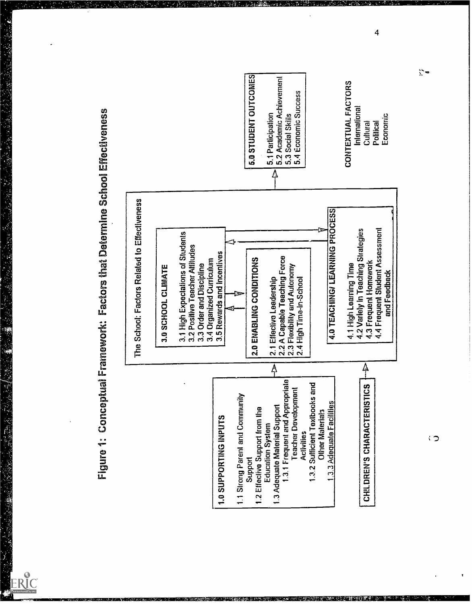**BANKANG** 

ERIC



 $\zeta$ 

 $\overline{4}$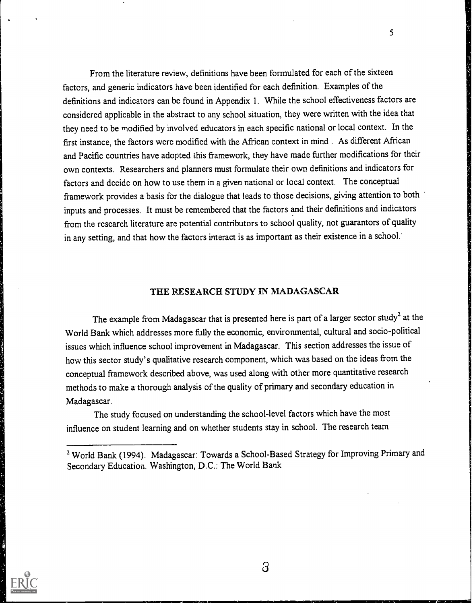From the literature review, definitions have been formulated for each of the sixteen factors, and generic indicators have been identified for each definition. Examples of the definitions and indicators can be found in Appendix 1. While the school effectiveness factors are considered applicable in the abstract to any school situation, they were written with the idea that they need to be modified by involved educators in each specific national or local context. In the first instance, the factors were modified with the African context in mind . As different African and Pacific countries have adopted this framework, they have made further modifications for their own contexts. Researchers and planners must formulate their own definitions and indicators for factors and decide on how to use them in a given national or local context. The conceptual framework provides a basis for the dialogue that leads to those decisions, giving attention to both inputs and processes. It must be remembered that the factors and their definitions and indicators from the research literature are potential contributors to school quality, not guarantors of quality in any setting, and that how the factors interact is as important as their existence in a school.

#### THE RESEARCH STUDY IN MADAGASCAR

The example from Madagascar that is presented here is part of a larger sector study<sup>2</sup> at the World Bank which addresses more fully the economic, environmental, cultural and socio-political issues which influence school improvement in Madagascar. This section addresses the issue of how this sector study's qualitative research component, which was based on the ideas from the conceptual framework described above, was used along with other more quantitative research methods to make a thorough analysis of the quality of primary and secondary education in Madagascar.

The study focused on understanding the school-level factors which have the most influence on student learning and on whether students stay in school. The research team

<sup>2</sup> World Bank (1994). Madagascar: Towards a School-Based Strategy for Improving Primary and Secondary Education. Washington, D.C.: The World Bank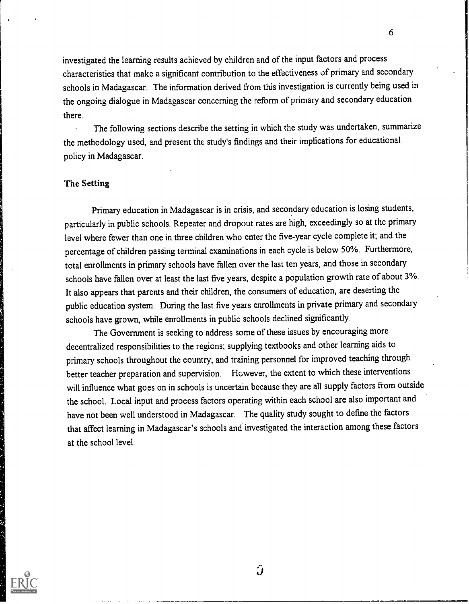investigated the learning results achieved by children and of the input factors and process characteristics that make a significant contribution to the effectiveness of primary and secondary schools in Madagascar. The information derived from this investigation is currently being used in the ongoing dialogue in Madagascar concerning the reform of primary and secondary education there.

The following sections describe the setting in which the study was undertaken, summarize the methodology used, and present the study's findings and their implications for educational policy in Madagascar.

# The Setting

Primary education in Madagascar is in crisis, and secondary education is losing students, particularly in public schools. Repeater and dropout rates are high, exceedingly so at the primary level where fewer than one in three children who enter the five-year cycle complete it; and the percentage of children passing terminal examinations in each cycle is below 50%. Furthermore, total enrollments in primary schools have fallen over the last ten years, and those in secondary schools have fallen over at least the last five years, despite a population growth rate of about 3%. It also appears that parents and their children, the consumers of education, are deserting the public education system. During the last five years enrollments in private primary and secondary schools have grown, while enrollments in public schools declined significantly.

The Government is seeking to address some of these issues by encouraging more decentralized responsibilities to the regions; supplying textbooks and other learning aids to primary schools throughout the country; and training personnel for improved teaching through better teacher preparation and supervision. However, the extent to which these interventions will influence what goes on in schools is uncertain because they are all supply factors from outside the school. Local input and process factors operating within each school are also important and have not been well understood in Madagascar. The quality study sought to define the factors that affect learning in Madagascar's schools and investigated the interaction among these factors at the school level.



 $\hat{J}$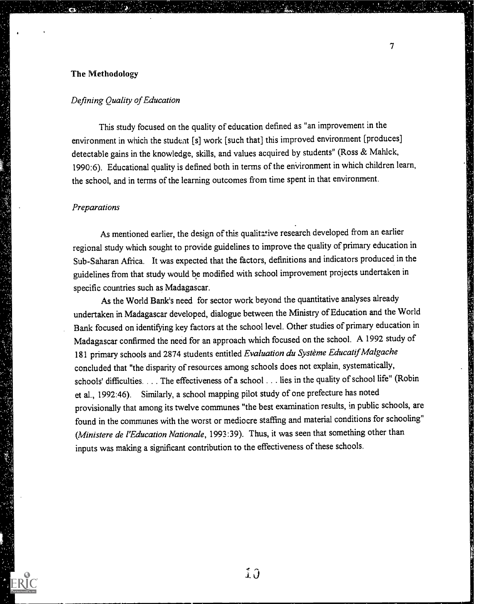# The Methodology

#### Defining Quality of Education

This study focused on the quality of education defined as "an improvement in the environment in which the student [s] work [such that] this improved environment [produces] detectable gains in the knowledge, skills, and values acquired by students" (Ross & Mahlck, 1990:6). Educational quality is defined both in terms of the environment in which children learn, the school, and in terms of the learning outcomes from time spent in that environment.

#### **Preparations**

As mentioned earlier, the design of this qualitative research developed from an earlier regional study which sought to provide guidelines to improve the quality of primary education in Sub-Saharan Africa. It was expected that the factors, definitions and indicators produced in the guidelines from that study would be modified with school improvement projects undertaken in specific countries such as Madagascar.

As the World Bank's need for sector work beyond the quantitative analyses already undertaken in Madagascar developed, dialogue between the Ministry of Education and the World Bank focused on identifying key factors at the school level. Other studies of primary education in Madagascar confirmed the need for an approach which focused on the school. A 1992 study of 181 primary schools and 2874 students entitled Evaluation du Système Educatif Malgache concluded that "the disparity of resources among schools does not explain, systematically, schools' difficulties. . . . The effectiveness of a school . . . lies in the quality of school life" (Robin et al., 1992:46). Similarly, a school mapping pilot study of one prefecture has noted provisionally that among its twelve communes "the best examination results, in public schools, are found in the communes with the worst or mediocre staffing and material conditions for schooling" (Ministere de l'Education Nationale, 1993:39). Thus, it was seen that something other than inputs was making a significant contribution to the effectiveness of these schools.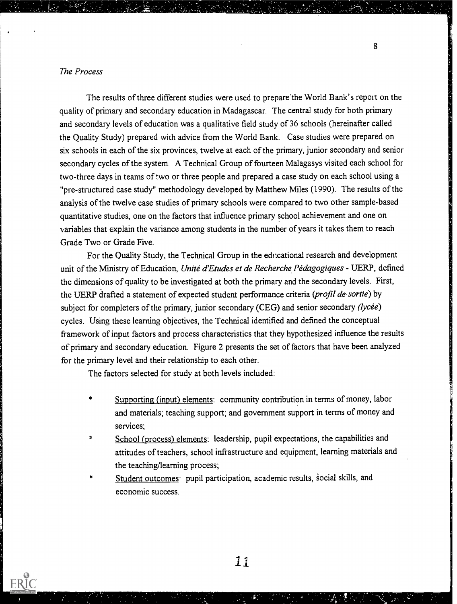## The Process

**FRIC** 

The results of three different studies were used to prepare'the World Bank's report on the quality of primary and secondary education in Madagascar. The central study for both primary and secondary levels of education was a qualitative field study of 36 schools (hereinafter called the Quality Study) prepared with advice from the World Bank. Case studies were prepared on six schools in each of the six provinces, twelve at each of the primary, junior secondary and senior secondary cycles of the system. A Technical Group of fourteen Malagasys visited each school for two-three days in teams of two or three people and prepared a case study on each school using a "pre-structured case study" methodology developed by Matthew Miles (1990). The results of the analysis of the twelve case studies of primary schools were compared to two other sample-based quantitative studies, one on the factors that influence primary school achievement and one on variables that explain the variance among students in the number of years it takes them to reach Grade Two or Grade Five.

For the Quality Study, the Technical Group in the educational research and development unit of the Ministry of Education, Unité d'Etudes et de Recherche Pédagogiques - UERP, defined the dimensions of quality to be investigated at both the primary and the secondary levels. First, the UERP drafted a statement of expected student performance criteria (profil de sortie) by subject for completers of the primary, junior secondary (CEG) and senior secondary (lycée) cycles. Using these learning objectives, the Technical identified and defined the conceptual framework of input factors and process characteristics that they hypothesized influence the results of primary and secondary education. Figure 2 presents the set of factors that have been analyzed for the primary level and their relationship to each other.

The factors selected for study at both levels included:

- Supporting (input) elements: community contribution in terms of money, labor and materials; teaching support; and government support in terms of money and services;
- School (process) elements: leadership, pupil expectations, the capabilities and attitudes of teachers, school infrastructure and equipment, learning materials and the teaching/learning process;
- Student outcomes: pupil participation, academic results, social skills, and economic success.

11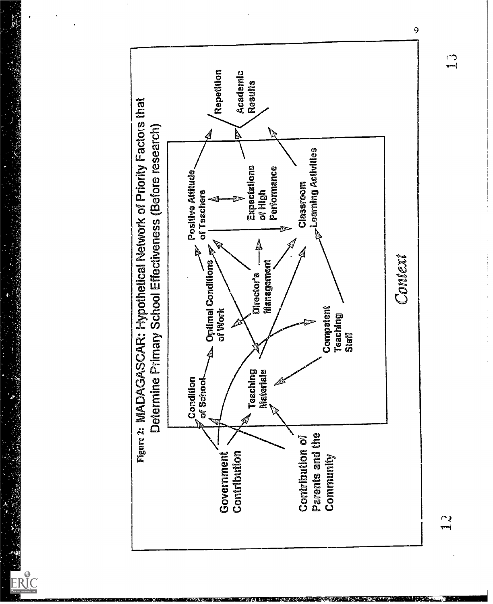

ERIC

 $\frac{1}{2}$ 1,3

 $\sum_{r=1}^{n}$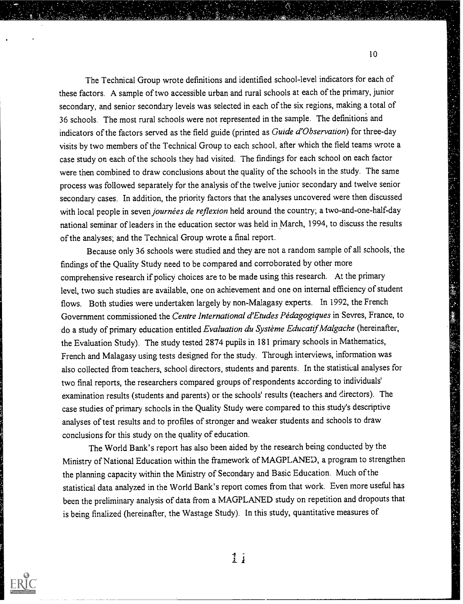The Technical Group wrote definitions and identified school-level indicators for each of these factors. A sample of two accessible urban and rural schools at each of the primary, junior secondary, and senior secondary levels was selected in each of the six regions, making a total of 36 schools. The most rural schools were not represented in the sample. The definitions and indicators of the factors served as the field guide (printed as Guide d'Observation) for three-day visits by two members of the Technical Group to each school, after which the field teams wrote a case study on each of the schools they had visited. The findings for each school on each factor were then combined to draw conclusions about the quality of the schools in the study. The same process was followed separately for the analysis of the twelve junior secondary and twelve senior secondary cases. In addition, the priority factors that the analyses uncovered were then discussed with local people in seven journées de reflexion held around the country; a two-and-one-half-day national seminar of leaders in the education sector was held in March, 1994, to discuss the results of the analyses; and the Technical Group wrote a final report.

Because only 36 schools were studied and they are not a random sample of all schools, the findings of the Quality Study need to be compared and corroborated by other more comprehensive research if policy choices are to be made using this research. At the primary level, two such studies are available, one on achievement and one on internal efficiency of student flows. Both studies were undertaken largely by non-Malagasy experts. In 1992, the French Government commissioned the Centre International d'Etudes Pédagogiques in Sevres, France, to do a study of primary education entitled Evaluation du Système Educatif Malgache (hereinafter, the Evaluation Study). The study tested 2874 pupils in 181 primary schools in Mathematics, French and Malagasy using tests designed for the study. Through interviews, information was also collected from teachers, school directors, students and parents. In the statistical analyses for two final reports, the researchers compared groups of respondents according to individuals' examination results (students and parents) or the schools' results (teachers and directors). The case studies of primary schools in the Quality Study were compared to this study's descriptive analyses of test results and to profiles of stronger and weaker students and schools to draw conclusions for this study on the quality of education.

The World Bank's report has also been aided by the research being conducted by the Ministry of National Education within the framework of MAGPLANED, a program to strengthen the planning capacity within the Ministry of Secondary and Basic Education. Much of the statistical data analyzed in the World Bank's report comes from that work. Even more useful has been the preliminary analysis of data from a MAGPLANED study on repetition and dropouts that is being finalized (hereinafter, the Wastage Study). In this study, quantitative measures of



 $1\,i$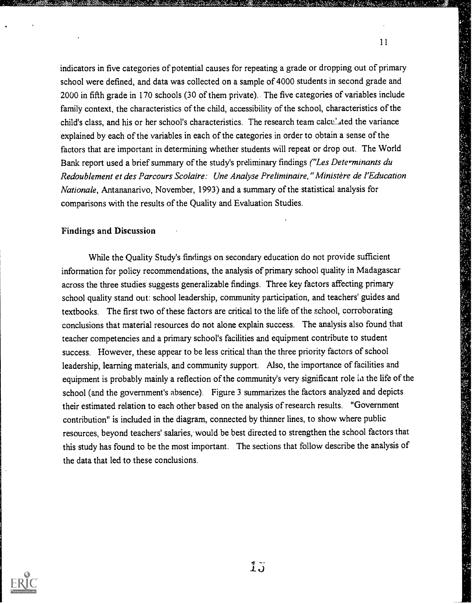indicators in five categories of potential causes for repeating a grade or dropping out of primary school were defined, and data was collected on a sample of 4000 students in second grade and 2000 in fifth grade in 170 schools (30 of them private).. The five categories of variables include family context, the characteristics of the child, accessibility of the school, characteristics of the child's class, and his or her school's characteristics. The research team calculated the variance explained by each of the variables in each of the categories in order to obtain a sense of the factors that are important in determining whether students will repeat or drop out. The World Bank report used a brief summary of the study's preliminary findings ("Les Determinants du Redoublement et des Parcours Scolaire: Une Analyse Preliminaire," Ministere de l'Education Nationale, Antananarivo, November, 1993) and a summary of the statistical analysis for comparisons with the results of the Quality and Evaluation Studies.

#### Findings and Discussion

While the Quality Study's findings on secondary education do not provide sufficient information for policy recommendations, the analysis of primary school quality in Madagascar across the three studies suggests generalizable findings. Three key factors affecting primary school quality stand out: school leadership, community participation, and teachers' guides and textbooks. The first two of these factors are critical to the life of the school, corroborating conclusions that material resources do not alone explain success. The analysis also found that teacher competencies and a primary school's facilities and equipment contribute to student success. However, these appear to be less critical than the three priority factors of school leadership, learning materials, and community support. Also, the importance of facilities and equipment is probably mainly a reflection of the community's very significant role in the life of the school (and the government's absence). Figure 3 summarizes the factors analyzed and depicts their estimated relation to each other based on the analysis of research results. "Government contribution" is included in the diagram, connected by thinner lines, to show where public resources, beyond teachers' salaries, would be best directed to strengthen the school factors that this study has found to be the most important. The sections that follow describe the analysis of the data that led to these conclusions.



 $1\overline{J}$ 

11

「私の家族」と、彼ら、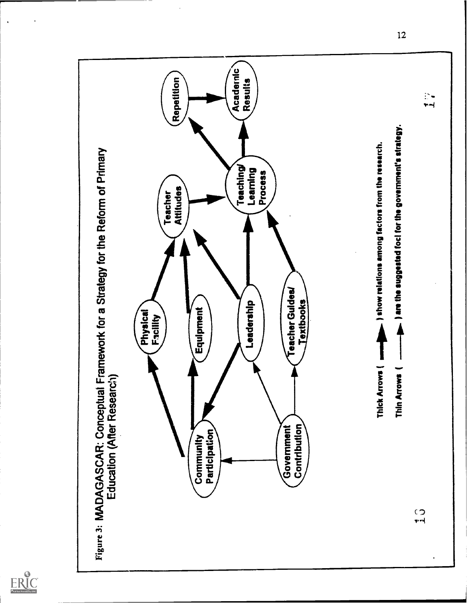

 $ER_{\scriptsize \textrm{full Test Proof of by EHC}}^{\scriptsize \textrm{Q}}$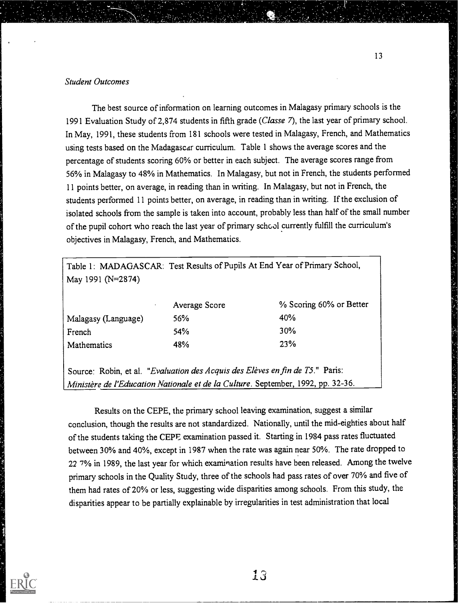# Student Outcomes

The best source of information on learning outcomes in Malagasy primary schools is the 1991 Evaluation Study of 2,874 students in fifth grade (Classe 7), the last year of primary school. In May, 1991, these students from 181 schools were tested in Malagasy, French, and Mathematics using tests based on the Madagascar curriculum. Table 1 shows the average scores and the percentage of students scoring 60% or better in each subject. The average scores range from 56% in Malagasy to 48% in Mathematics. In Malagasy, but not in French, the students performed 11 points better, on average, in reading than in writing. In Malagasy, but not in French, the students performed 11 points better, on average, in reading than in writing. If the exclusion of isolated schools from the sample is taken into account, probably less than half of the small number of the pupil cohort who reach the last year of primary school currently fulfill the curriculum's objectives in Malagasy, French, and Mathematics.

Table 1: MADAGASCAR: Test Results of Pupils At End Year of Primary School, May 1991 (N=2874)

|                     | Average Score | % Scoring 60% or Better |  |
|---------------------|---------------|-------------------------|--|
| Malagasy (Language) | 56%           | 40%                     |  |
| French              | 54%           | 30%                     |  |
| <b>Mathematics</b>  | 48%           | 23%                     |  |

Source: Robin, et al. "Evaluation des Acquis des Elèves en fin de T5." Paris: Ministère de l'Education Nationale et de la Culture. September, 1992, pp. 32-36.

Results on the CEPE, the primary school leaving examination, suggest a similar conclusion, though the results are not standardized. Nationally, until the mid-eighties about half of the students taking the CEPE examination passed it. Starting in 1984 pass rates fluctuated between 30% and 40%, except in 1987 when the rate was again near 50%. The rate dropped to 22 7% in 1989, the last year for which examination results have been released. Among the twelve primary schools in the Quality Study, three of the schools had pass rates of over 70% and five of them had rates of 20% or less, suggesting wide disparities among schools. From this study, the disparities appear to be partially explainable by irregularities in test administration that local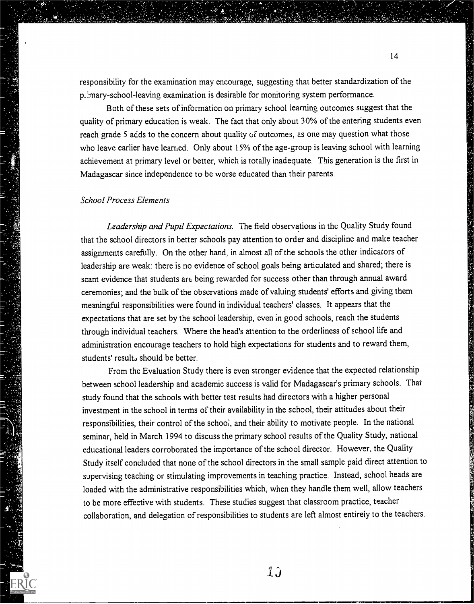responsibility for the examination may encourage, suggesting that better standardization of the p\_ mary-school-leaving examination is desirable for monitoring system performance.

Both of these sets of information on primary school learning outcomes suggest that the quality of primary education is weak. The fact that only about 30% of the entering students even reach grade 5 adds to the concern about quality of outcomes, as one may question what those who leave earlier have learned. Only about 15% of the age-group is leaving school with learning achievement at primary level or better, which is totally inadequate. This generation is the first in Madagascar since independence to be worse educated than their parents.

## School Process Elements

Leadership and Pupil Expectations. The field observations in the Quality Study found that the school directors in better schools pay attention to order and discipline and make teacher assignments carefully. On the other hand, in almost all of the schools the other indicators of leadership are weak: there is no evidence of school goals being articulated and shared; there is scant evidence that students are being rewarded for success other than through annual award ceremonies; and the bulk of the observations made of valuing students' efforts and giving them meaningful responsibilities were found in individual teachers' classes. It appears that the expectations that are set by the school leadership, even in good schools, reach the students through individual teachers. Where the head's attention to the orderliness of school life and administration encourage teachers to hold high expectations for students and to reward them, students' result. should be better.

From the Evaluation Study there is even stronger evidence that the expected relationship between school leadership and academic success is valid for Madagascar's primary schools. That study found that the schools with better test results had directors with a higher personal investment in the school in terms of their availability in the school, their attitudes about their responsibilities, their control of the schoo, and their ability to motivate people. In the national seminar, held in March 1994 to discuss the primary school results of the Quality Study, national educational leaders corroborated the importance of the school director. However, the Quality Study itself concluded that none of the school directors in the small sample paid direct attention to supervising teaching or stimulating improvements in teaching practice. Instead, school heads are loaded with the administrative responsibilities which, when they handle them well, allow teachers to be more effective with students. These studies suggest that classroom practice, teacher collaboration, and delegation of responsibilities to students are left almost entirely to the teachers.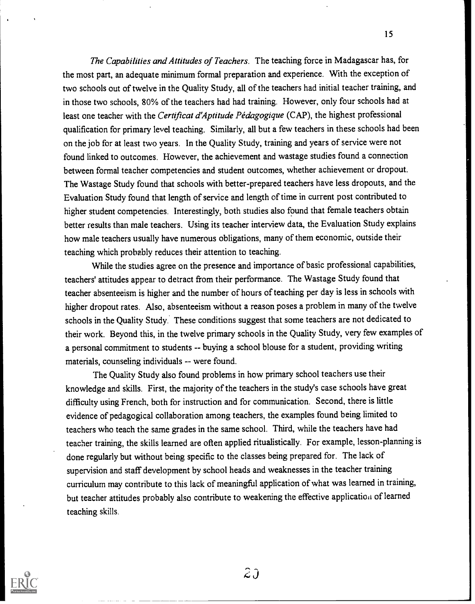The Capabilities and Attitudes of Teachers. The teaching force in Madagascar has, for the most part, an adequate minimum formal preparation and experience. With the exception of two schools out of twelve in the Quality Study, all of the teachers had initial teacher training, and in those two schools, 80% of the teachers had had training. However, only four schools had at least one teacher with the Certificat d'Aptitude Pédagogique (CAP), the highest professional qualification for primary level teaching. Similarly, all but a few teachers in these schools had been on the job for at least two years. In the Quality Study, training and years of service were not found linked to outcomes. However, the achievement and wastage studies found a connection between formal teacher competencies and student outcomes, whether achievement or dropout. The Wastage Study found that schools with better-prepared teachers have less dropouts, and the Evaluation Study found that length of service and length of time in current post contributed to higher student competencies. Interestingly, both studies also found that female teachers obtain better results than male teachers. Using its teacher interview data, the Evaluation Study explains how male teachers usually have numerous obligations, many of them economic, outside their teaching which probably reduces their attention to teaching.

While the studies agree on the presence and importance of basic professional capabilities, teachers' attitudes appear to detract from their performance. The Wastage Study found that teacher absenteeism is higher and the number of hours of teaching per day is less in schools with higher dropout rates. Also, absenteeism without a reason poses a problem in many of the twelve schools in the Quality Study. These conditions suggest that some teachers are not dedicated to their work. Beyond this, in the twelve primary schools in the Quality Study, very few examples of a personal commitment to students -- buying a school blouse for a student, providing writing materials, counseling individuals -- were found.

The Quality Study also found problems in how primary school teachers use their knowledge and skills. First, the majority of the teachers in the study's case schools have great difficulty using French, both for instruction and for communication. Second, there is little evidence of pedagogical collaboration among teachers, the examples found being limited to teachers who teach the same grades in the same school. Third, while the teachers have had teacher training, the skills learned are often applied ritualistically. For example, lesson-planning is done regularly but without being specific to the classes being prepared for. The lack of supervision and staff development by school heads and weaknesses in the teacher training curriculum may contribute to this lack of meaningful application of what was learned in training, but teacher attitudes probably also contribute to weakening the effective application of learned teaching skills.



 $2\jmath$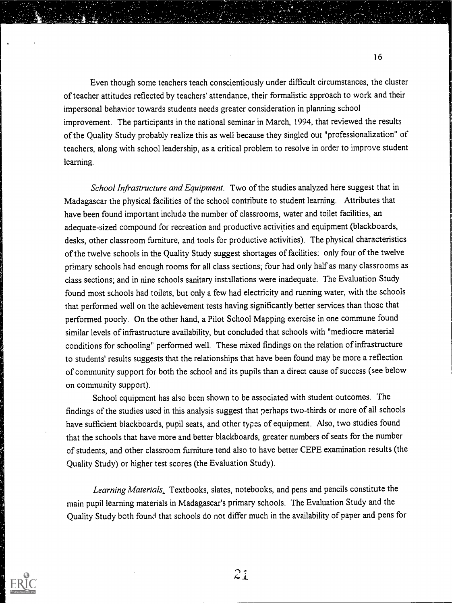Even though some teachers teach conscientiously under difficult circumstances, the cluster of teacher attitudes reflected by teachers' attendance, their formalistic approach to work and their impersonal behavior towards students needs greater consideration in planning school improvement. The participants in the national seminar in March, 1994, that reviewed the results of the Quality Study probably realize this as well because they singled out "professionalization" of teachers, along with school leadership, as a critical problem to resolve in order to improve student learning.

 $16$ 

School Infrastructure and Equipment. Two of the studies analyzed here suggest that in Madagascar the physical facilities of the school contribute to student learning. Attributes that have been found important include the number of classrooms, water and toilet facilities, an adequate-sized compound for recreation and productive activities and equipment (blackboards, desks, other classroom furniture, and tools for productive activities). The physical characteristics of the twelve schools in the Quality Study suggest shortages of facilities: only four of the twelve primary schools had enough rooms for all class sections; four had only half as many classrooms as class sections; and in nine schools sanitary installations were inadequate. The Evaluation Study found most schools had toilets, but only a few had electricity and running water, with the schools that performed well on the achievement tests having significantly better services than those that performed poorly. On the other hand, a Pilot School Mapping exercise in one commune found similar levels of infrastructure availability, but concluded that schools with "mediocre material conditions for schooling" performed well. These mixed findings on the relation of infrastructure to students' results suggests that the relationships that have been found may be more a reflection of community support for both the school and its pupils than a direct cause of success (see below on community support).

School equipment has also been shown to be associated with student outcomes. The findings of the studies used in this analysis suggest that perhaps two-thirds or more of all schools have sufficient blackboards, pupil seats, and other types of equipment. Also, two studies found that the schools that have more and better blackboards, greater numbers of seats for the number of students, and other classroom furniture tend also to have better CEPE examination results (the Quality Study) or higher test scores (the Evaluation Study).

Learning Materials. Textbooks, slates, notebooks, and pens and pencils constitute the main pupil learning materials in Madagascar's primary schools. The Evaluation Study and the Quality Study both found that schools do not differ much in the availability of paper and pens for

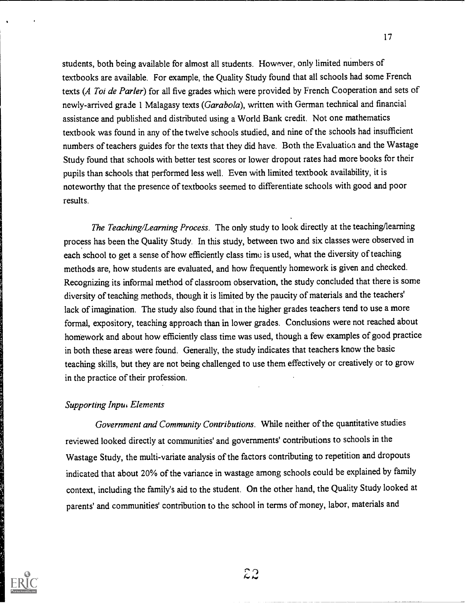students, both being available for almost all students. However, only limited numbers of textbooks are available. For example, the Quality Study found that all schools had some French texts (A Toi de Parler) for all five grades which were provided by French Cooperation and sets of newly-arrived grade 1 Malagasy texts (Garabola), written with German technical and financial assistance and published and distributed using a World Bank credit. Not one mathematics textbook was found in any of the twelve schools studied, and nine of the schools had insufficient numbers of teachers guides for the texts that they did have. Both the Evaluation and the Wastage Study found that schools with better test scores or lower dropout rates had more books for their pupils than schools that performed less well. Even with limited textbook availability, it is noteworthy that the presence of textbooks seemed to differentiate schools with good and poor results.

The Teaching/Learning Process. The only study to look directly at the teaching/learning process has been the Quality Study. In this study, between two and six classes were observed in each school to get a sense of how efficiently class time is used, what the diversity of teaching methods are, how students are evaluated, and how frequently homework is given and checked. Recognizing its informal method of classroom observation, the study concluded that there is some diversity of teaching methods, though it is limited by the paucity of materials and the teachers' lack of imagination. The study also found that in the higher grades teachers tend to use a more formal, expository, teaching approach than in lower grades. Conclusions were not reached about homework and about how efficiently class time was used, though a few examples of good practice in both these areas were found. Generally, the study indicates that teachers know the basic teaching skills, but they are not being challenged to use them effectively or creatively or to grow in the practice of their profession.

# Supporting Inpui Elements

Government and Community Contributions. While neither of the quantitative studies reviewed looked directly at communities' and governments' contributions to schools in the Wastage Study, the multi-variate analysis of the factors contributing to repetition and dropouts indicated that about 20% of the variance in wastage among schools could be explained by family context, including the family's aid to the student. On the other hand, the Quality Study looked at parents' and communities' contribution to the school in terms of money, labor, materials and

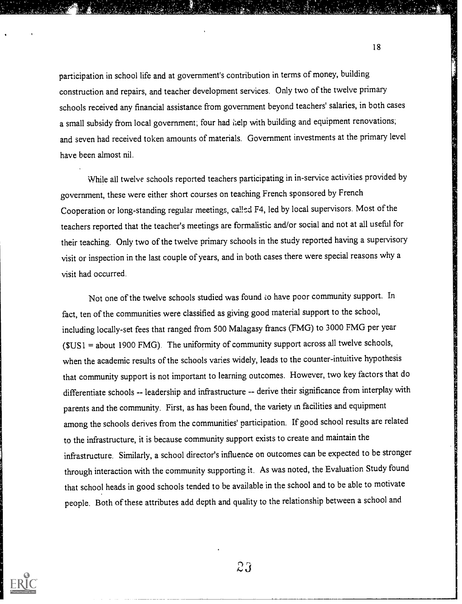participation in school life and at government's contribution in terms of money, building construction and repairs, and teacher development services. Only two of the twelve primary schools received any financial assistance from government beyond teachers' salaries, in both cases a small subsidy from local government; four had kelp with building and equipment renovations; and seven had received token amounts of materials. Government investments at the primary level have been almost nil.

While all twelve schools reported teachers participating in in-service activities provided by government, these were either short courses on teaching French sponsored by French Cooperation or long-standing regular meetings, called F4, led by local supervisors. Most of the teachers reported that the teacher's meetings are formalistic and/orsocial and not at all useful for their teaching. Only two of the twelve primary schools in the study reported having a supervisory visit or inspection in the last couple of years, and in both cases there were special reasons why a visit had occurred.

Not one of the twelve schools studied was found to have poor community support. In fact, ten of the communities were classified as giving good material support to the school, including locally-set fees that ranged from 500 Malagasy francs (FMG) to 3000 FMG per year  $(SUS1 = about 1900 FMG)$ . The uniformity of community support across all twelve schools, when the academic results of the schools varies widely, leads to the counter-intuitive hypothesis that community support is not important to learning outcomes. However, two key factors that do differentiate schools -- leadership and infrastructure -- derive their significance from interplay with parents and the community. First, as has been found, the variety in facilities and equipment among the schools derives from the communities' participation. If good school results are related to the infrastructure, it is because community support exists to create and maintain the infrastructure. Similarly, a school director's influence on outcomes can be expected to be stronger through interaction with the community supporting it. As was noted, the Evaluation Study found that school heads in good schools tended to be available in the school and to be able to motivate people. Both of these attributes add depth and quality to the relationship between a school and



 $2\mathfrak{J}$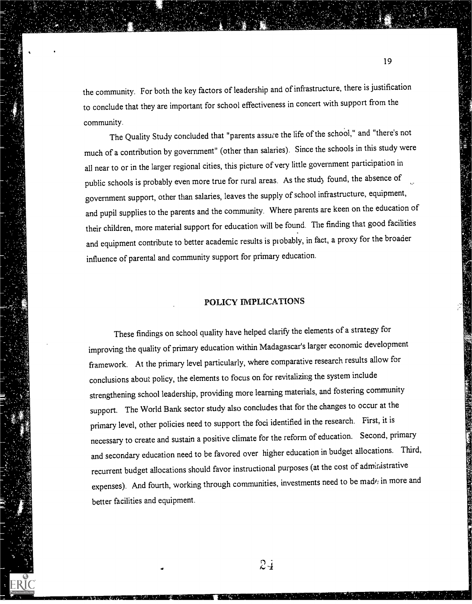the community. For both the key factors of leadership and of infrastructure, there is justification to conclude that they are important for school effectiveness in concert with support from the community.

The Quality Study concluded that "parents assure the life of the school," and "there's not much of a contribution by government" (other than salaries). Since the schools in this study were all near to or in the larger regional cities, this picture of very little government participation in public schools is probably even more true for rural areas. As the study found, the absence of government support, other than salaries, leaves the supply of school infrastructure, equipment, and pupil supplies to the parents and the community. Where parents are keen on the education of their children, more material support for education will be found. The finding that good facilities and equipment contribute to better academic results is probably, in fact, a proxy for the broader influence of parental and community support for primary education.

# POLICY IMPLICATIONS

These findings on school quality have helped clarify the elements of a strategy for improving the quality of primary education within Madagascar's larger economic development framework. At the primary level particularly, where comparative research results allow for conclusions about policy, the elements to focus on for revitalizing the system include strengthening school leadership, providing more learning materials, and fostering community support. The World Bank sector study also concludes that for the changes to occur at the primary level, other policies need to support the foci identified in the research. First, it is necessary to create and sustain a positive climate for the reform of education. Second, primary and secondary education need to be favored over higher education in budget allocations. Third, recurrent budget allocations should favor instructional purposes (at the cost of administrative expenses). And fourth, working through communities, investments need to be madf; in more and better facilities and equipment.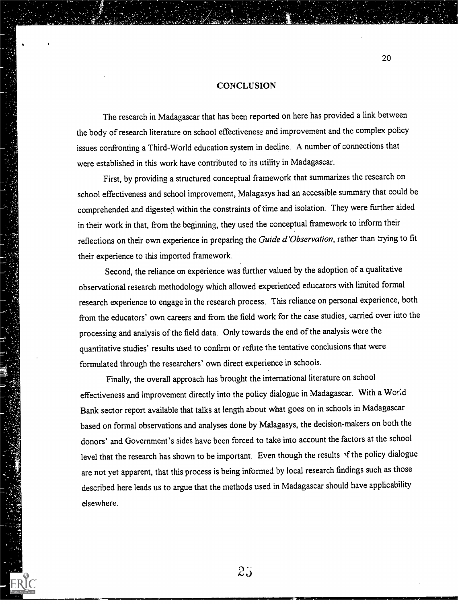#### **CONCLUSION**

The research in Madagascar that has been reported on here has provided a link between the body of research literature on school effectiveness and improvement and the complex policy issues confronting a Third-World education system in decline. A number of connections that were established in this work have contributed to its utility in Madagascar.

First, by providing a structured conceptual framework that summarizes the research on school effectiveness and school improvement, Malagasys had an accessible summary that could be comprehended and digested within the constraints of time and isolation. They were further aided in their work in that, from the beginning, they used the conceptual framework to inform their reflections on their own experience in preparing the Guide d'Observation, rather than trying to fit their experience to this imported framework.

Second, the reliance on experience was further valued by the adoption of a qualitative observational research methodology which allowed experienced educators with limited formal research experience to engage in the research process. This reliance on personal experience, both from the educators' own careers and from the field work for the case studies, carried over into the processing and analysis of the field data. Only towards the end of the analysis were the quantitative studies' results used to confirm or refute the tentative conclusions that were formulated through the researchers' own direct experience in schools.

Finally, the overall approach has brought the international literature on school effectiveness and improvement directly into the policy dialogue in Madagascar. With a World Bank sector report available that talks at length about what goes on in schools in Madagascar based on formal observations and analyses done by Malagasys, the decision-makers on both the donors' and Government's sides have been forced to take into account the factors at the school level that the research has shown to be important. Even though the results of the policy dialogue are not yet apparent, that this process is being informed by local research findings such as those described here leads us to argue that the methods used in Madagascar should have applicability elsewhere.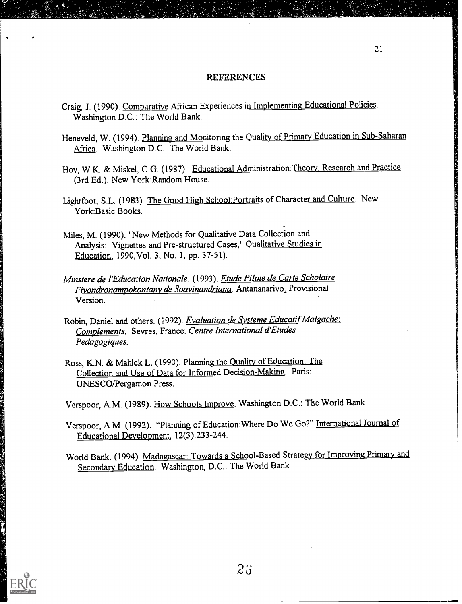#### REFERENCES

- Craig, J. (1990). Comparative African Experiences in Implementing Educational Policies. Washington D.C.: The World Bank.
- Heneveld, W. (1994). Planning and Monitoring the Quality of Primary Education in Sub-Saharan Africa. Washington D.C.: The World Bank.
- Hoy, W.K. & Miskel, C.G. (1987). Educational Administration:Theory, Research and Practice (3rd Ed.). New York:Random House.
- Lightfoot, S.L. (1983). The Good High School:Portraits of Character and Culture. New York:Basic Books.
- Miles, M. (1990). "New Methods for Qualitative Data Collection and Analysis: Vignettes and Pre-structured Cases," Qualitative Studies in Education, 1990,Vol. 3, No. 1, pp. 37-51).
- Minstere de l'Educa:ion Nationale. (1993). Etude Pilote de Carte Scholaire Fivondronampokontany de Soavinandriana, Antananarivo, Provisional Version.
- Robin, Daniel and others. (1992). Evaluation de Systeme Educatif Malgache: Complements. Sevres, France: Centre International d'Etudes Pedagogiques.
- Ross, K.N. & Mahlck L. (1990). Planning the Quality of Education: The Collection and Use of Data for Informed Decision-Making. Paris: UNESCO/Pergamon Press.

Verspoor, A.M. (1989). How Schools Improve. Washington D.C.: The World Bank.

Verspoor, A.M. (1992). "Planning of Education:Where Do We Go?" International Journal of Educational Development, 12(3):233-244.

World Bank. (1994). Madagascar: Towards a School-Based Strategy for Improving Primary and Secondary Education. Washington, D.C.: The World Bank

「大人は、このことになったのか、このことのための人気がある」ということになる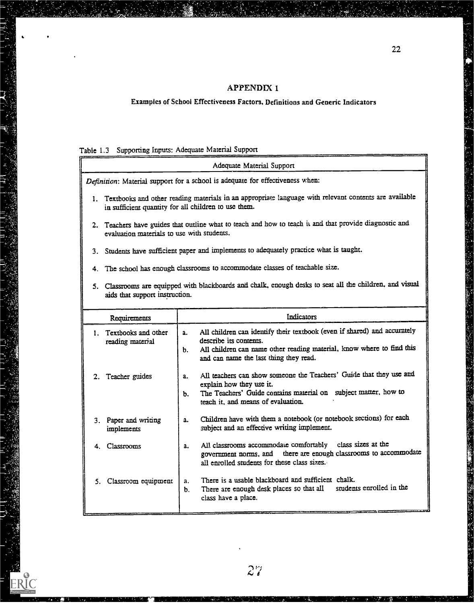# Examples of School Effectiveness Factors, Definitions and Generic Indicators

# Table 1.3 Supporting Inputs: Adequate Material Support

ERIC

**Program** 

|                                                      |                   | Adequate Material Support                                                                                                                                                                                             |
|------------------------------------------------------|-------------------|-----------------------------------------------------------------------------------------------------------------------------------------------------------------------------------------------------------------------|
|                                                      |                   | Definition: Material support for a school is adequate for effectiveness when:                                                                                                                                         |
| in sufficient quantity for all children to use them. |                   | 1. Textbooks and other reading materials in an appropriate language with relevant contents are available                                                                                                              |
| evaluation materials to use with students.           |                   | 2. Teachers have guides that outline what to teach and how to teach it and that provide diagnostic and                                                                                                                |
|                                                      |                   | 3. Students have sufficient paper and implements to adequately practice what is taught.                                                                                                                               |
|                                                      |                   | 4. The school has enough classrooms to accommodate classes of teachable size.                                                                                                                                         |
| aids that support instruction.                       |                   | 5. Classrooms are equipped with blackboards and chalk, enough desks to seat all the children, and visual                                                                                                              |
| Requirements                                         |                   | Indicators                                                                                                                                                                                                            |
| . Textbooks and other<br>reading material            | a.<br>b.          | All children can identify their textbook (even if shared) and accurately<br>describe its contents.<br>All children can name other reading material, know where to find this<br>and can name the last thing they read. |
| 2. Teacher guides                                    | $a_{\cdot}$<br>b. | All teachers can show someone the Teachers' Guide that they use and<br>explain how they use it.<br>The Teachers' Guide contains material on subject matter, how to<br>teach it, and means of evaluation.              |
| 3. Paper and writing<br>implements                   | $a_{\cdot}$       | Children have with them a notebook (or notebook sections) for each<br>subject and an effective writing implement.                                                                                                     |
| 4. Classrooms                                        | a.                | All classrooms accommodate comfortably class sizes at the<br>government norms, and there are enough classrooms to accommodate<br>all enrolled students for these class sizes.                                         |
| 5. Classroom equipment $ a $ .                       |                   | There is a usable blackboard and sufficient chalk.<br>b. There are enough desk places so that all students enrolled in the<br>class have a place.                                                                     |

. .

والأنافذ الأناديك

**CONTRACTOR**